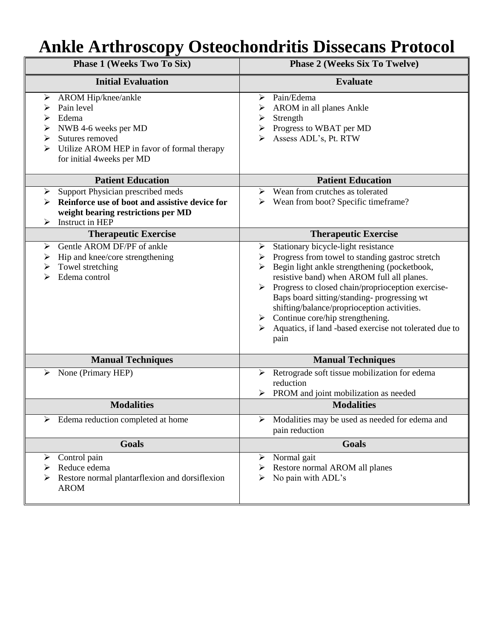## **Ankle Arthroscopy Osteochondritis Dissecans Protocol**

| <b>Phase 1 (Weeks Two To Six)</b>                                                                                                                                                | <b>Phase 2 (Weeks Six To Twelve)</b>                                                                                                                                                                                                                                                                                                                                                                                                                                                                      |
|----------------------------------------------------------------------------------------------------------------------------------------------------------------------------------|-----------------------------------------------------------------------------------------------------------------------------------------------------------------------------------------------------------------------------------------------------------------------------------------------------------------------------------------------------------------------------------------------------------------------------------------------------------------------------------------------------------|
| <b>Initial Evaluation</b>                                                                                                                                                        | <b>Evaluate</b>                                                                                                                                                                                                                                                                                                                                                                                                                                                                                           |
| AROM Hip/knee/ankle<br>➤<br>Pain level<br>Edema<br>NWB 4-6 weeks per MD<br>Sutures removed<br>➤<br>Utilize AROM HEP in favor of formal therapy<br>➤<br>for initial 4weeks per MD | Pain/Edema<br>⋗<br>AROM in all planes Ankle<br>Strength<br>≻<br>Progress to WBAT per MD<br>Assess ADL's, Pt. RTW                                                                                                                                                                                                                                                                                                                                                                                          |
| <b>Patient Education</b>                                                                                                                                                         | <b>Patient Education</b>                                                                                                                                                                                                                                                                                                                                                                                                                                                                                  |
| Support Physician prescribed meds<br>➤<br>Reinforce use of boot and assistive device for<br>weight bearing restrictions per MD<br>$\triangleright$ Instruct in HEP               | Wean from crutches as tolerated<br>➤<br>$\triangleright$ Wean from boot? Specific time frame?                                                                                                                                                                                                                                                                                                                                                                                                             |
| <b>Therapeutic Exercise</b>                                                                                                                                                      | <b>Therapeutic Exercise</b>                                                                                                                                                                                                                                                                                                                                                                                                                                                                               |
| Gentle AROM DF/PF of ankle<br>⋗<br>Hip and knee/core strengthening<br>➤<br>Towel stretching<br>➤<br>Edema control                                                                | Stationary bicycle-light resistance<br>➤<br>Progress from towel to standing gastroc stretch<br>➤<br>$\triangleright$ Begin light ankle strengthening (pocketbook,<br>resistive band) when AROM full all planes.<br>$\triangleright$ Progress to closed chain/proprioception exercise-<br>Baps board sitting/standing-progressing wt<br>shifting/balance/proprioception activities.<br>$\triangleright$ Continue core/hip strengthening.<br>Aquatics, if land -based exercise not tolerated due to<br>pain |
| <b>Manual Techniques</b>                                                                                                                                                         | <b>Manual Techniques</b>                                                                                                                                                                                                                                                                                                                                                                                                                                                                                  |
| None (Primary HEP)<br>➤                                                                                                                                                          | Retrograde soft tissue mobilization for edema<br>➤<br>reduction<br>PROM and joint mobilization as needed                                                                                                                                                                                                                                                                                                                                                                                                  |
| <b>Modalities</b>                                                                                                                                                                | <b>Modalities</b>                                                                                                                                                                                                                                                                                                                                                                                                                                                                                         |
| Edema reduction completed at home                                                                                                                                                | Modalities may be used as needed for edema and<br>pain reduction                                                                                                                                                                                                                                                                                                                                                                                                                                          |
| <b>Goals</b>                                                                                                                                                                     | <b>Goals</b>                                                                                                                                                                                                                                                                                                                                                                                                                                                                                              |
| Control pain<br>➤<br>Reduce edema<br>➤<br>Restore normal plantarflexion and dorsiflexion<br><b>AROM</b>                                                                          | Normal gait<br>➤<br>Restore normal AROM all planes<br>➤<br>No pain with ADL's<br>➤                                                                                                                                                                                                                                                                                                                                                                                                                        |